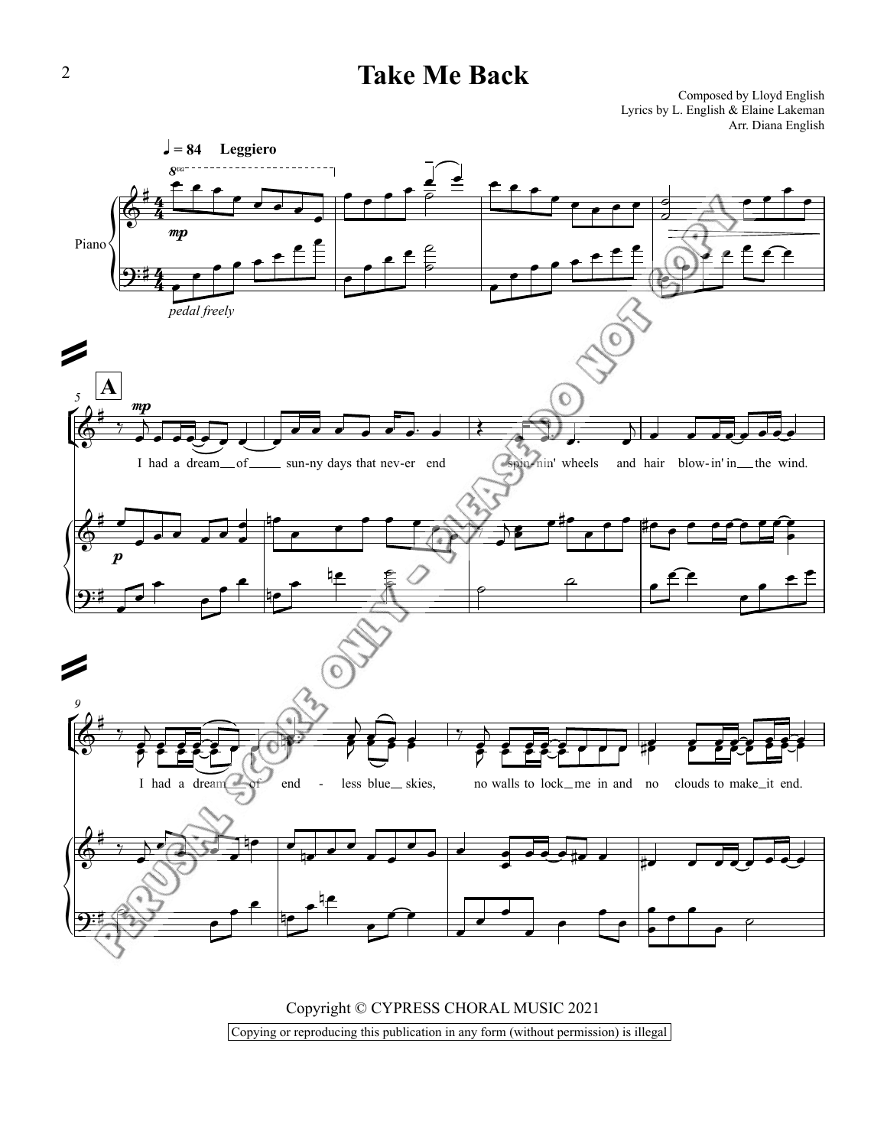## **Take Me Back**

Composed by Lloyd English Lyrics by L. English & Elaine Lakeman Arr. Diana English



Copyright © CYPRESS CHORAL MUSIC 2021 Copying or reproducing this publication in any form (without permission) is illegal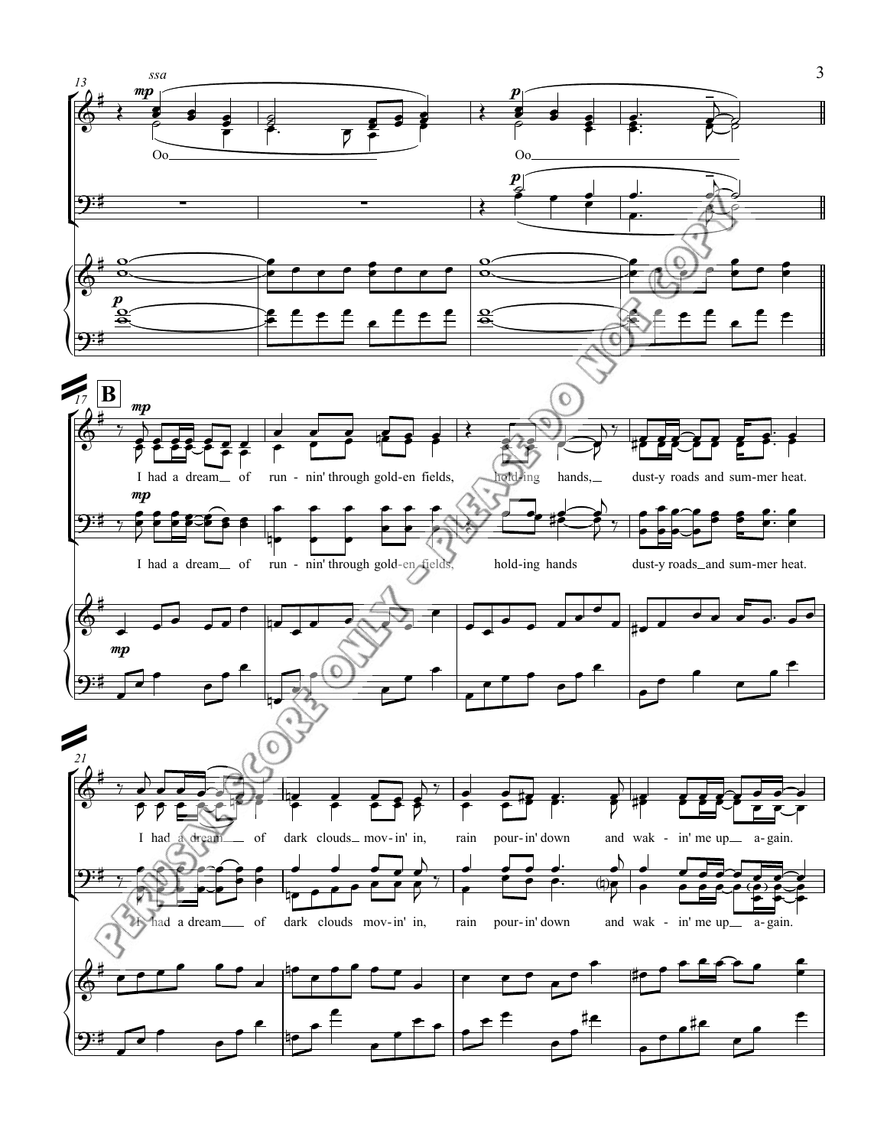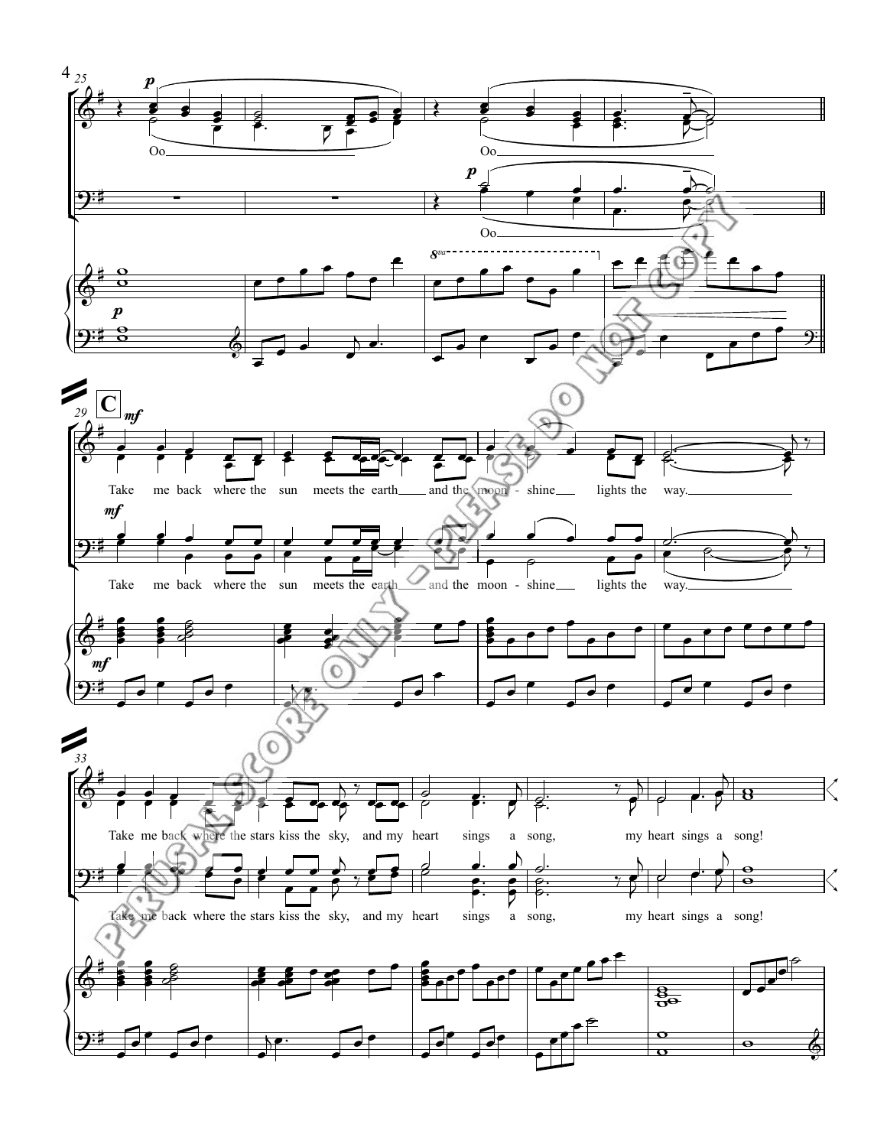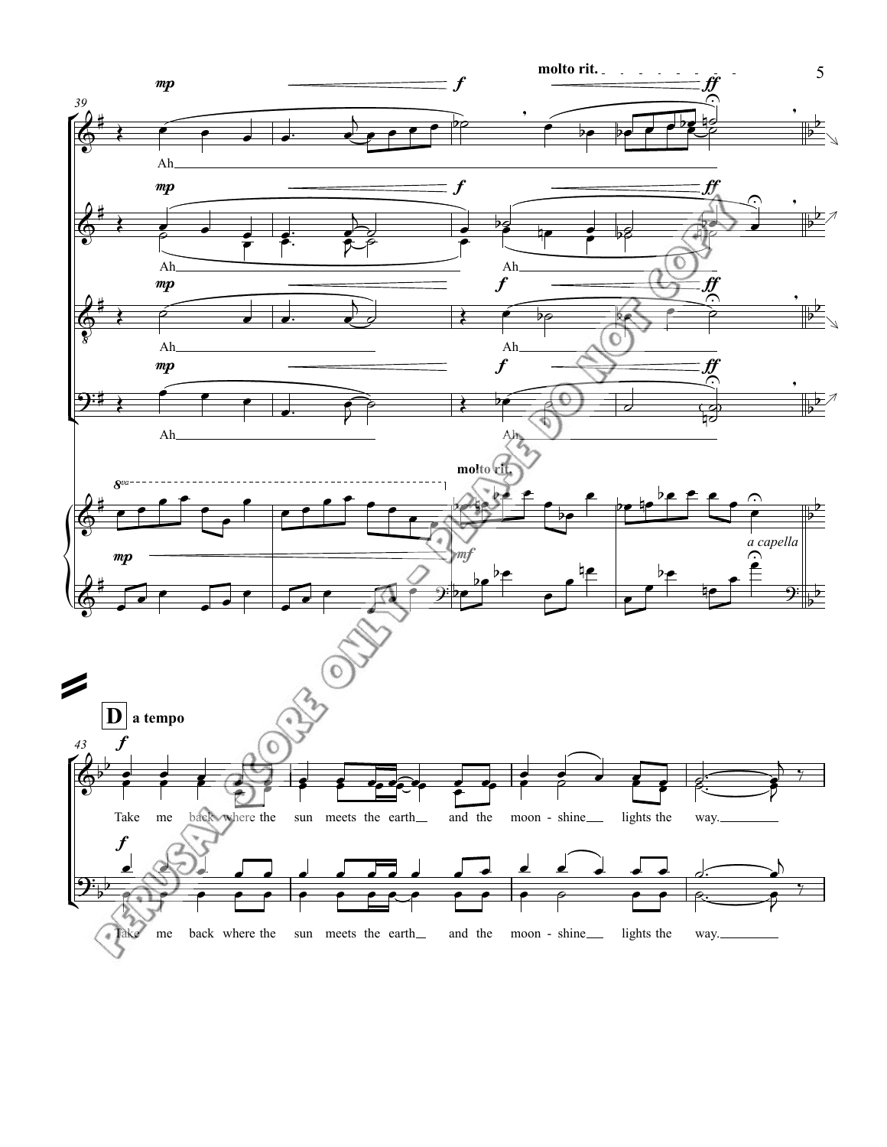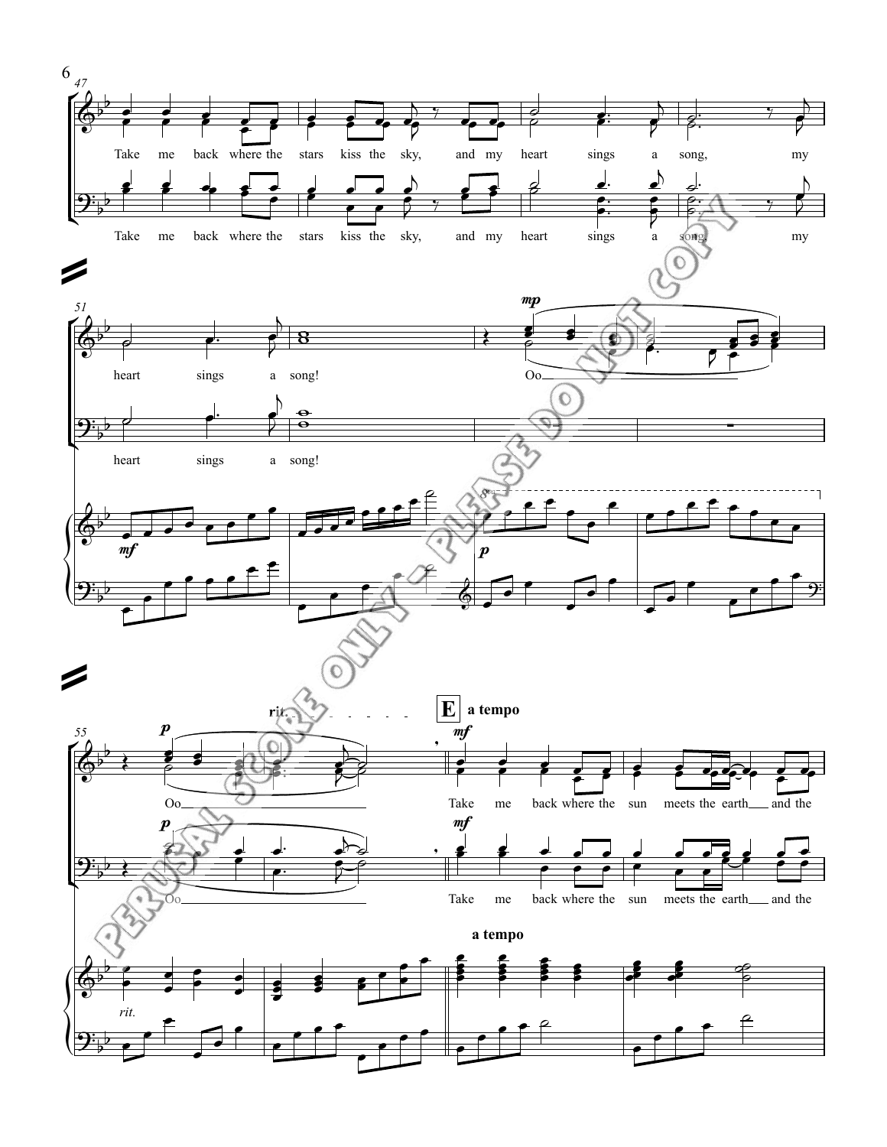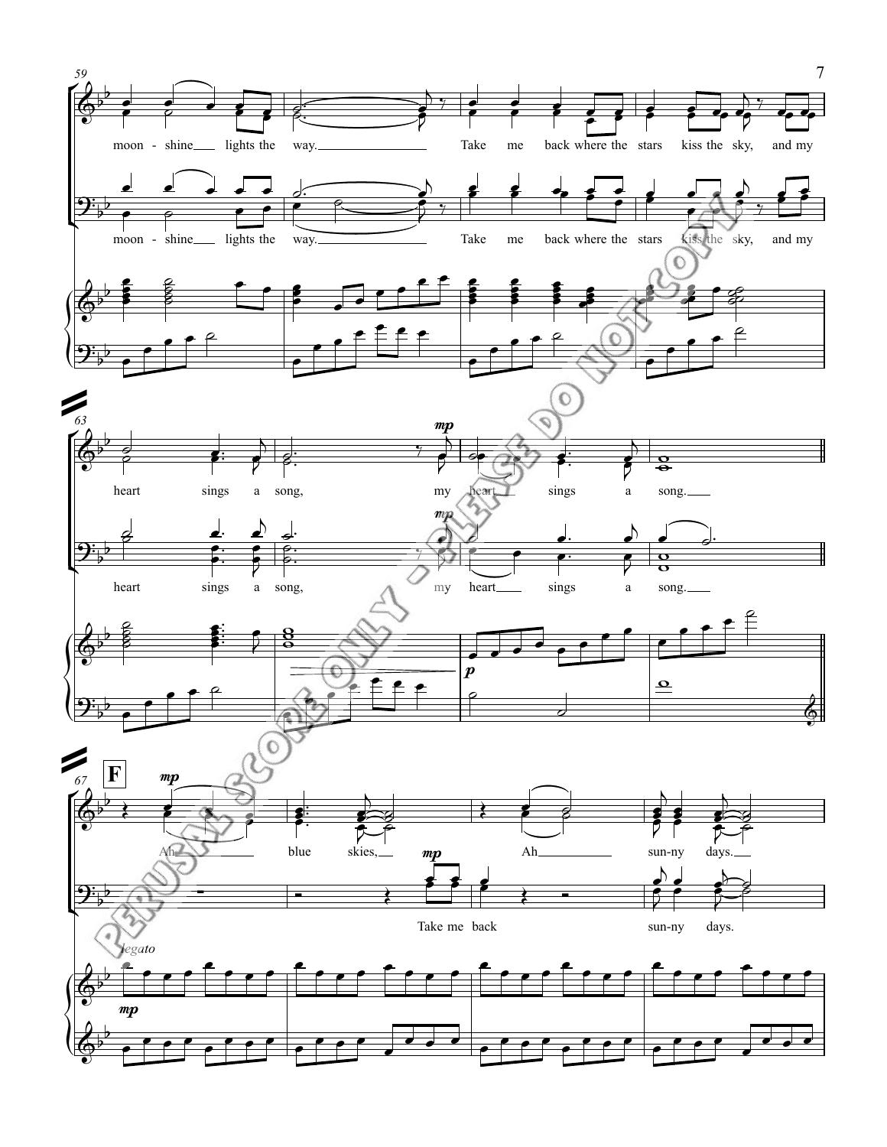